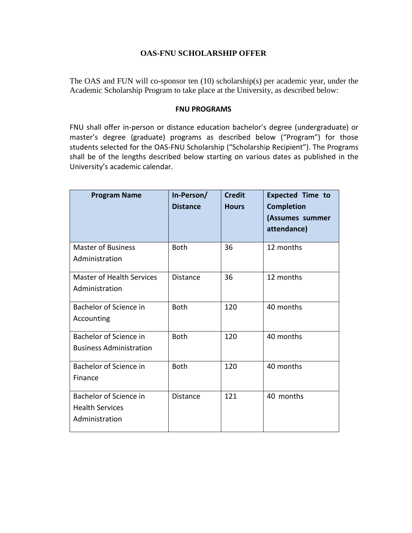## **OAS-FNU SCHOLARSHIP OFFER**

The OAS and FUN will co-sponsor ten (10) scholarship(s) per academic year, under the Academic Scholarship Program to take place at the University, as described below:

## **FNU PROGRAMS**

FNU shall offer in-person or distance education bachelor's degree (undergraduate) or master's degree (graduate) programs as described below ("Program") for those students selected for the OAS-FNU Scholarship ("Scholarship Recipient"). The Programs shall be of the lengths described below starting on various dates as published in the University's academic calendar.

| <b>Program Name</b>              | In-Person/<br><b>Distance</b> | <b>Credit</b><br><b>Hours</b> | <b>Expected Time to</b><br><b>Completion</b><br>(Assumes summer<br>attendance) |
|----------------------------------|-------------------------------|-------------------------------|--------------------------------------------------------------------------------|
| <b>Master of Business</b>        | <b>Both</b>                   | 36                            | 12 months                                                                      |
| Administration                   |                               |                               |                                                                                |
| <b>Master of Health Services</b> | <b>Distance</b>               | 36                            | 12 months                                                                      |
| Administration                   |                               |                               |                                                                                |
| Bachelor of Science in           | <b>Both</b>                   | 120                           | 40 months                                                                      |
| Accounting                       |                               |                               |                                                                                |
| Bachelor of Science in           | <b>Both</b>                   | 120                           | 40 months                                                                      |
| <b>Business Administration</b>   |                               |                               |                                                                                |
| Bachelor of Science in           | <b>Both</b>                   | 120                           | 40 months                                                                      |
| Finance                          |                               |                               |                                                                                |
| Bachelor of Science in           | <b>Distance</b>               | 121                           | 40 months                                                                      |
| <b>Health Services</b>           |                               |                               |                                                                                |
| Administration                   |                               |                               |                                                                                |